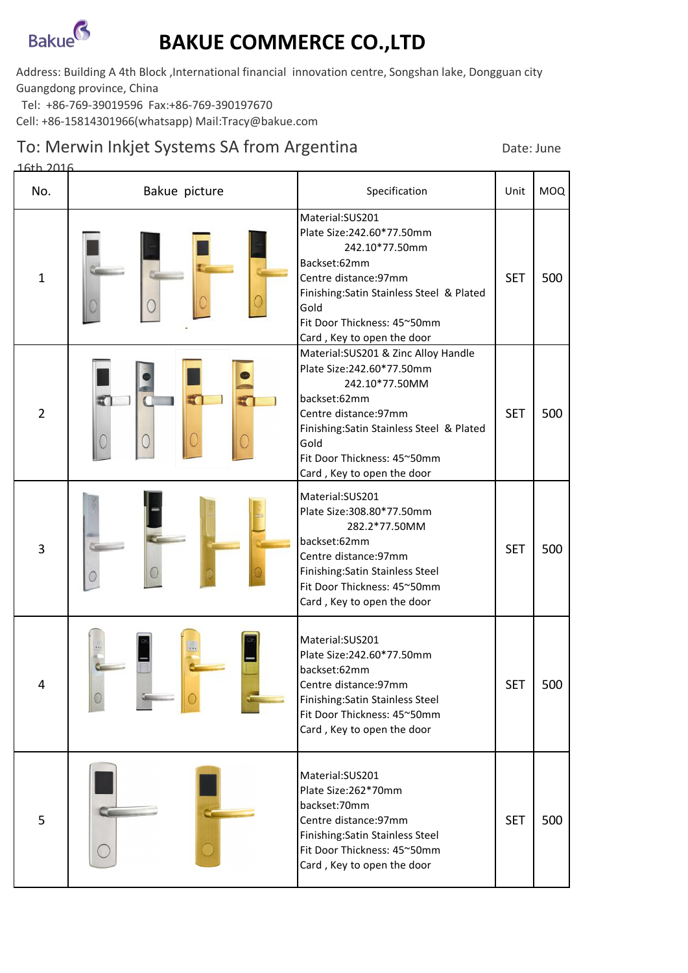

## **BAKUE COMMERCE CO.,LTD**

Address: Building A 4th Block ,International financial innovation centre, Songshan lake, Dongguan city Guangdong province, China

Tel: +86-769-39019596 Fax:+86-769-390197670

Cell: +86-15814301966(whatsapp) Mail:Tracy@bakue.com

## To: Merwin Inkjet Systems SA from Argentina Date: June

| 16th 2016      |               |                                                                                                                                                                                                                                                 |            |            |
|----------------|---------------|-------------------------------------------------------------------------------------------------------------------------------------------------------------------------------------------------------------------------------------------------|------------|------------|
| No.            | Bakue picture | Specification                                                                                                                                                                                                                                   | Unit       | <b>MOQ</b> |
| $\mathbf{1}$   |               | Material:SUS201<br>Plate Size: 242.60*77.50mm<br>242.10*77.50mm<br>Backset:62mm<br>Centre distance: 97mm<br>Finishing: Satin Stainless Steel & Plated<br>Gold<br>Fit Door Thickness: 45~50mm<br>Card, Key to open the door                      | <b>SET</b> | 500        |
| $\overline{2}$ | E<br>E.       | Material: SUS201 & Zinc Alloy Handle<br>Plate Size: 242.60*77.50mm<br>242.10*77.50MM<br>backset:62mm<br>Centre distance: 97mm<br>Finishing: Satin Stainless Steel & Plated<br>Gold<br>Fit Door Thickness: 45~50mm<br>Card, Key to open the door | <b>SET</b> | 500        |
| $\overline{3}$ |               | Material:SUS201<br>Plate Size: 308.80*77.50mm<br>282.2*77.50MM<br>backset:62mm<br>Centre distance: 97mm<br>Finishing: Satin Stainless Steel<br>Fit Door Thickness: 45~50mm<br>Card, Key to open the door                                        | <b>SET</b> | 500        |
| 4              |               | Material:SUS201<br>Plate Size: 242.60*77.50mm<br>backset:62mm<br>Centre distance: 97mm<br>Finishing: Satin Stainless Steel<br>Fit Door Thickness: 45~50mm<br>Card, Key to open the door                                                         | <b>SET</b> | 500        |
| 5              |               | Material:SUS201<br>Plate Size:262*70mm<br>backset:70mm<br>Centre distance: 97mm<br>Finishing: Satin Stainless Steel<br>Fit Door Thickness: 45~50mm<br>Card, Key to open the door                                                                | <b>SET</b> | 500        |